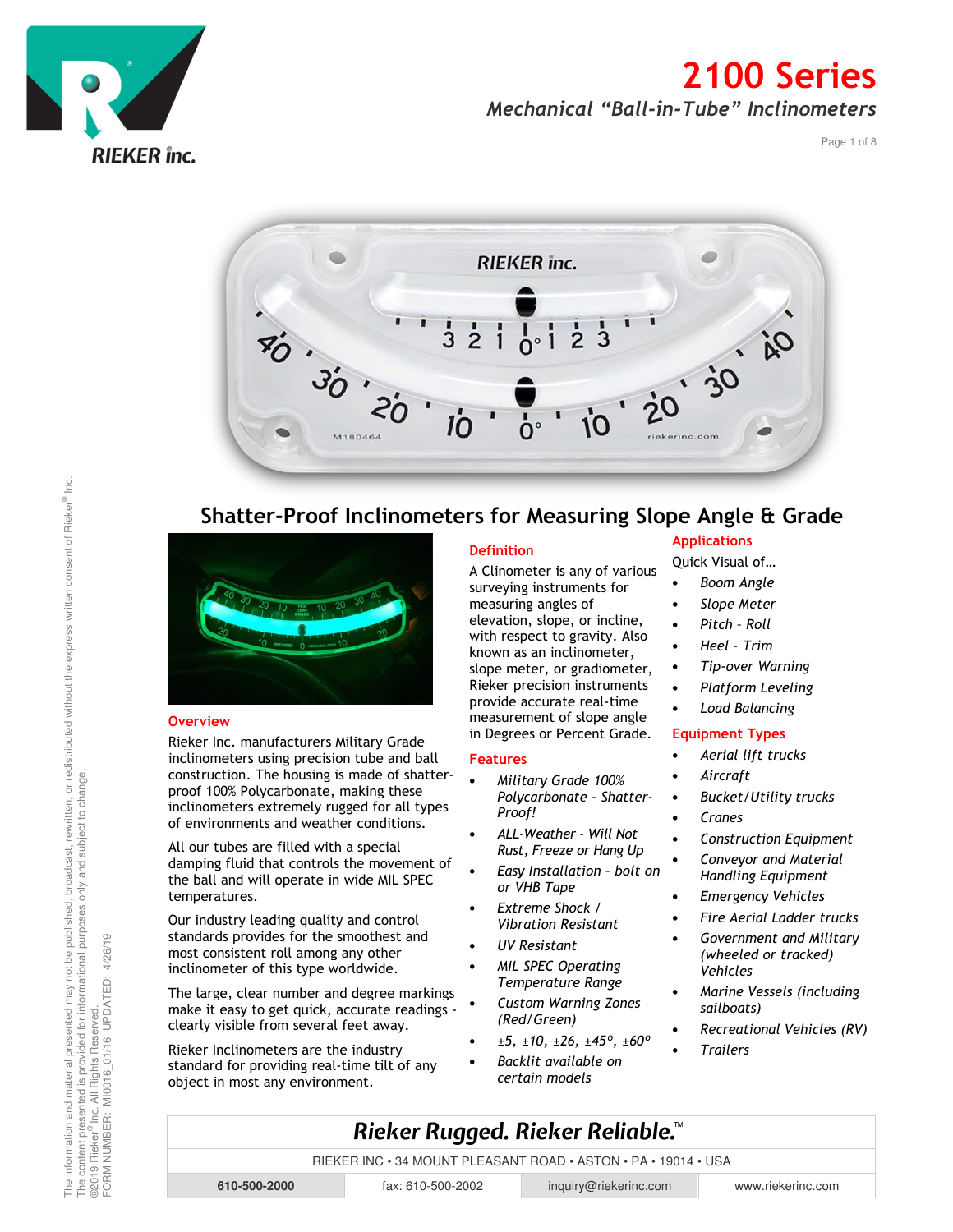

Page 1 of 8



#### Shatter-Proof Inclinometers for Measuring Slope Angle & Grade



Rieker Inc. manufacturers Military Grade inclinometers using precision tube and ball construction. The housing is made of shatterproof 100% Polycarbonate, making these inclinometers extremely rugged for all types of environments and weather conditions.

All our tubes are filled with a special damping fluid that controls the movement of the ball and will operate in wide MIL SPEC temperatures.

Our industry leading quality and control standards provides for the smoothest and most consistent roll among any other inclinometer of this type worldwide.

The large, clear number and degree markings make it easy to get quick, accurate readings clearly visible from several feet away.

Rieker Inclinometers are the industry standard for providing real-time tilt of any object in most any environment.

#### **Definition**

A Clinometer is any of various surveying instruments for measuring angles of elevation, slope, or incline, with respect to gravity. Also known as an inclinometer, slope meter, or gradiometer, Rieker precision instruments provide accurate real-time measurement of slope angle in Degrees or Percent Grade.

#### Features

- Military Grade 100% Polycarbonate - Shatter-Proof!
- ALL-Weather Will Not Rust, Freeze or Hang Up
- Easy Installation bolt on or VHB Tape
- Extreme Shock / Vibration Resistant
- UV Resistant
- MIL SPEC Operating Temperature Range
- Custom Warning Zones (Red/Green)
- $\pm 5$ ,  $\pm 10$ ,  $\pm 26$ ,  $\pm 45^{\circ}$ ,  $\pm 60^{\circ}$
- Backlit available on certain models

#### Applications

Quick Visual of…

- Boom Angle
- Slope Meter • Pitch – Roll
- Heel Trim
- 
- Tip-over Warning
- Platform Leveling
- Load Balancing

#### Equipment Types

- Aerial lift trucks
- Aircraft
- Bucket/Utility trucks
- Cranes
- Construction Equipment
- Conveyor and Material Handling Equipment
- Emergency Vehicles
- Fire Aerial Ladder trucks
- Government and Military (wheeled or tracked) Vehicles
- Marine Vessels (including sailboats)
- Recreational Vehicles (RV)
- **Trailers**

# FORM NUMBER: MI0016\_01/16 UPDATED: 4/26/19 ©2019 Rieker® Inc. All Rights Reserved. FORM NUMBER: **610-500-2000** fax: 610-500-2002 inquiry@riekerinc.com www.riekerinc.com

RIEKER INC • 34 MOUNT PLEASANT ROAD • ASTON • PA • 19014 • USA

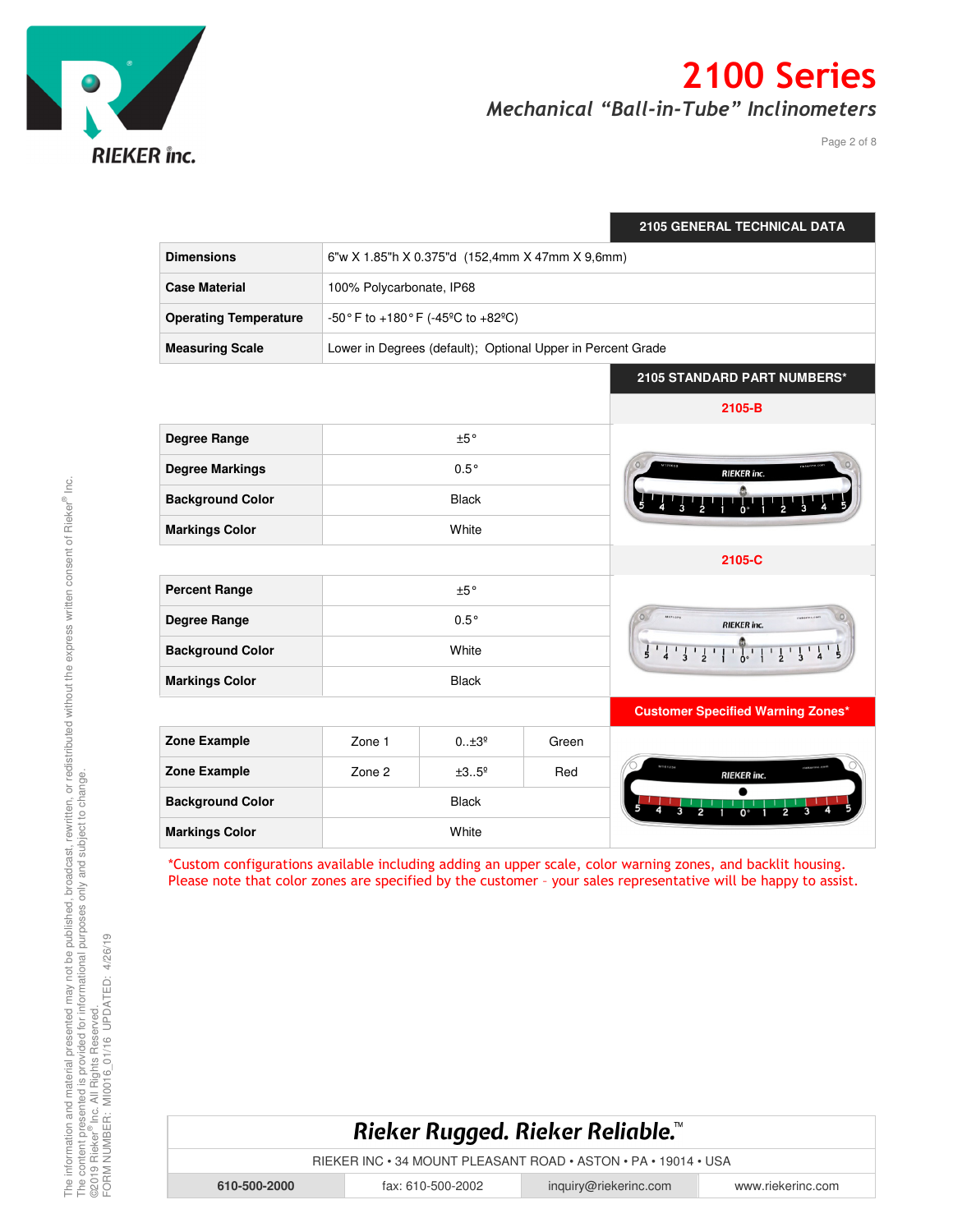

Page 2 of 8

|                              |                                                 |                                                             |       | <b>2105 GENERAL TECHNICAL DATA</b>                                                                                 |
|------------------------------|-------------------------------------------------|-------------------------------------------------------------|-------|--------------------------------------------------------------------------------------------------------------------|
| <b>Dimensions</b>            | 6"w X 1.85"h X 0.375"d (152,4mm X 47mm X 9,6mm) |                                                             |       |                                                                                                                    |
| <b>Case Material</b>         | 100% Polycarbonate, IP68                        |                                                             |       |                                                                                                                    |
| <b>Operating Temperature</b> |                                                 | -50° F to +180° F (-45° C to +82° C)                        |       |                                                                                                                    |
| <b>Measuring Scale</b>       |                                                 | Lower in Degrees (default); Optional Upper in Percent Grade |       |                                                                                                                    |
|                              |                                                 |                                                             |       | 2105 STANDARD PART NUMBERS*                                                                                        |
|                              |                                                 |                                                             |       | 2105-B                                                                                                             |
| <b>Degree Range</b>          | $\pm 5\,^{\circ}$                               |                                                             |       |                                                                                                                    |
| <b>Degree Markings</b>       | $0.5^\circ$                                     |                                                             |       | <b>RIEKER</b> inc.                                                                                                 |
| <b>Background Color</b>      | <b>Black</b>                                    |                                                             |       |                                                                                                                    |
| <b>Markings Color</b>        | White                                           |                                                             |       |                                                                                                                    |
|                              |                                                 |                                                             |       | 2105-C                                                                                                             |
| <b>Percent Range</b>         | ±5°                                             |                                                             |       |                                                                                                                    |
| <b>Degree Range</b>          | $0.5^\circ$                                     |                                                             |       | <b>RIEKER</b> inc.                                                                                                 |
| <b>Background Color</b>      | White                                           |                                                             |       | $\frac{1}{5}$ $\frac{1}{4}$ $\frac{1}{3}$ $\frac{1}{2}$ $\frac{1}{1}$ $\frac{1}{0}$<br>$\frac{1}{3}$ $\frac{1}{4}$ |
| <b>Markings Color</b>        | <b>Black</b>                                    |                                                             |       |                                                                                                                    |
|                              |                                                 |                                                             |       | <b>Customer Specified Warning Zones*</b>                                                                           |
| <b>Zone Example</b>          | Zone 1                                          | $0*3^{\circ}$                                               | Green |                                                                                                                    |
| <b>Zone Example</b>          | Zone 2                                          | ±35 <sup>°</sup>                                            | Red   | <b>RIEKER</b> inc.                                                                                                 |
| <b>Background Color</b>      | <b>Black</b>                                    |                                                             |       |                                                                                                                    |
| <b>Markings Color</b>        | White                                           |                                                             |       |                                                                                                                    |

\*Custom configurations available including adding an upper scale, color warning zones, and backlit housing. Please note that color zones are specified by the customer – your sales representative will be happy to assist.



RIEKER INC • 34 MOUNT PLEASANT ROAD • ASTON • PA • 19014 • USA

**610-500-2000** fax: 610-500-2002 inquiry@riekerinc.com www.riekerinc.com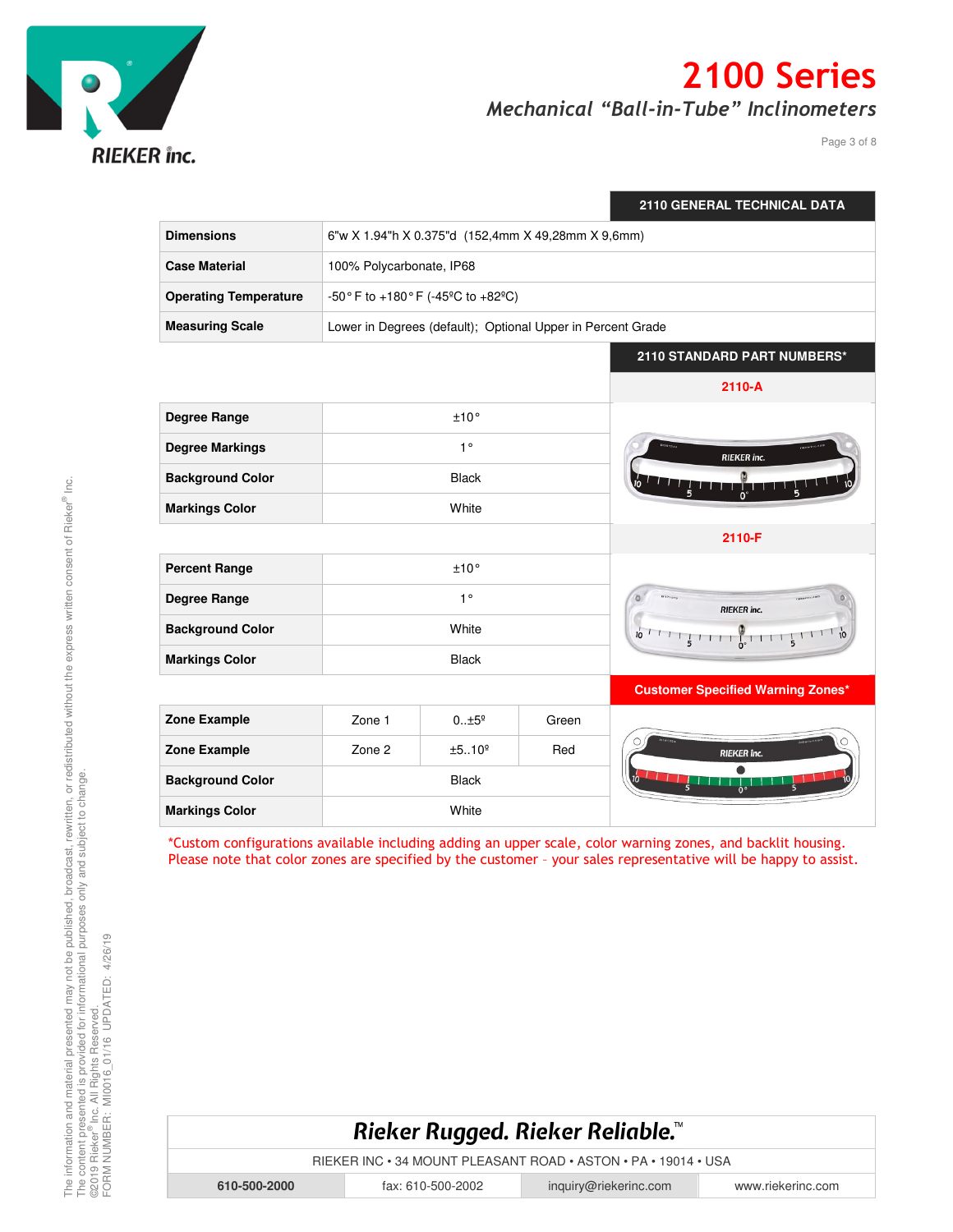

Page 3 of 8

|                              |                                                             |               |       | 2110 GENERAL TECHNICAL DATA                   |
|------------------------------|-------------------------------------------------------------|---------------|-------|-----------------------------------------------|
| <b>Dimensions</b>            | 6"w X 1.94"h X 0.375"d (152,4mm X 49,28mm X 9,6mm)          |               |       |                                               |
| <b>Case Material</b>         | 100% Polycarbonate, IP68                                    |               |       |                                               |
| <b>Operating Temperature</b> | -50° F to +180° F (-45°C to +82°C)                          |               |       |                                               |
| <b>Measuring Scale</b>       | Lower in Degrees (default); Optional Upper in Percent Grade |               |       |                                               |
|                              |                                                             |               |       | 2110 STANDARD PART NUMBERS*                   |
|                              |                                                             |               |       | $2110 - A$                                    |
| Degree Range                 | ±10°                                                        |               |       |                                               |
| <b>Degree Markings</b>       | $1^{\circ}$                                                 |               |       | <b>RIEKER</b> inc.                            |
| <b>Background Color</b>      | <b>Black</b>                                                |               |       |                                               |
| <b>Markings Color</b>        | White                                                       |               |       |                                               |
|                              |                                                             |               |       | 2110-F                                        |
| <b>Percent Range</b>         | ±10°                                                        |               |       |                                               |
| Degree Range                 | $1^{\circ}$                                                 |               |       | <b>RIEKER</b> inc.                            |
| <b>Background Color</b>      | White                                                       |               |       | $10^{-1}$ $1^{-1}$ $1^{-1}$ $1^{-1}$ $1^{-1}$ |
| <b>Markings Color</b>        | <b>Black</b>                                                |               |       |                                               |
|                              |                                                             |               |       | <b>Customer Specified Warning Zones*</b>      |
| Zone Example                 | Zone 1                                                      | $015^{\circ}$ | Green |                                               |
| <b>Zone Example</b>          | Zone 2                                                      | ±5.0°         | Red   | <b>RIEKER</b> Inc.                            |
| <b>Background Color</b>      | <b>Black</b>                                                |               |       | $\frac{1}{2}$                                 |
| <b>Markings Color</b>        | White                                                       |               |       |                                               |

\*Custom configurations available including adding an upper scale, color warning zones, and backlit housing. Please note that color zones are specified by the customer – your sales representative will be happy to assist.

## Rieker Rugged. Rieker Reliable.™

RIEKER INC • 34 MOUNT PLEASANT ROAD • ASTON • PA • 19014 • USA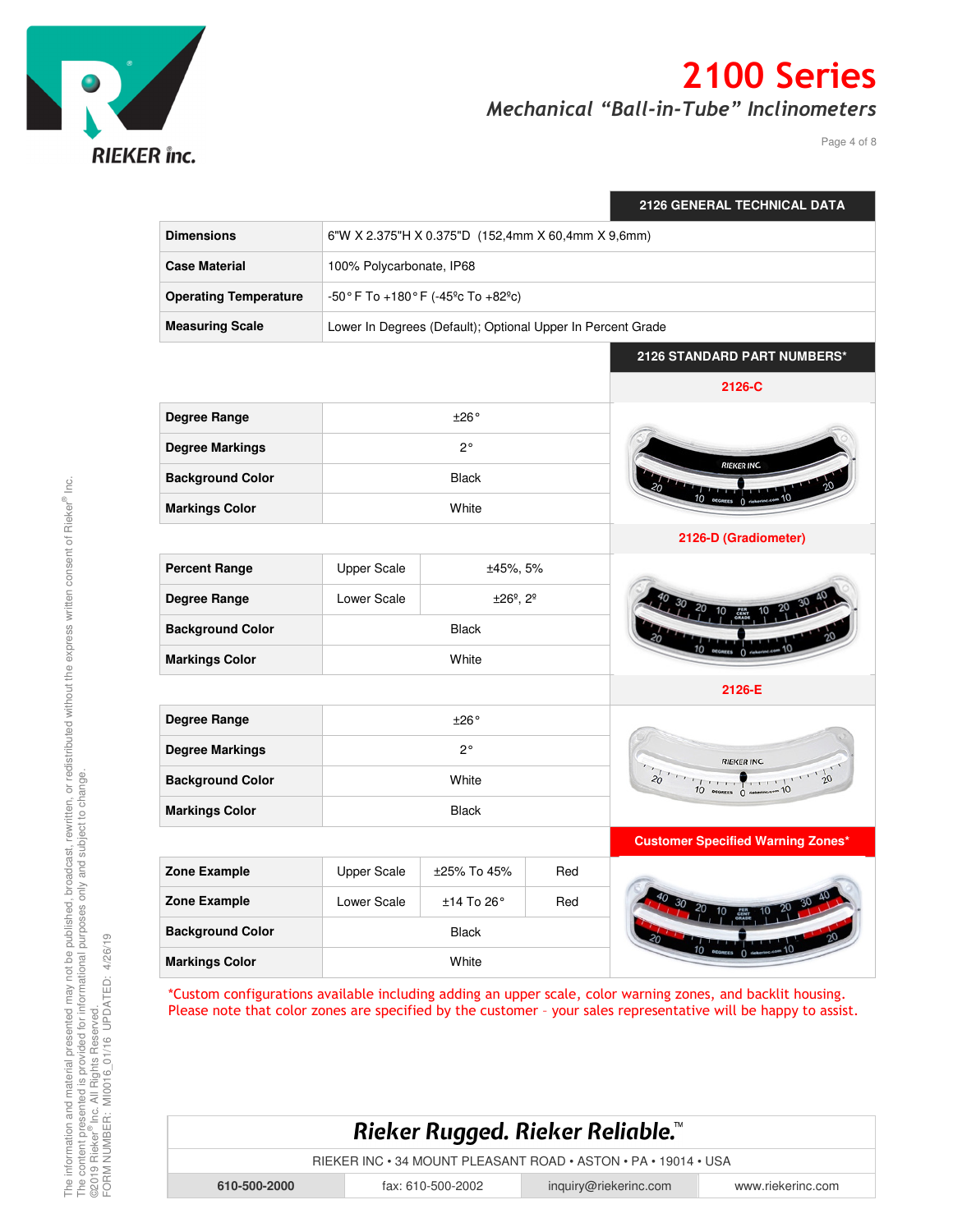

Page 4 of 8

|                              |                                                             |                                      |     | 2126 GENERAL TECHNICAL DATA              |
|------------------------------|-------------------------------------------------------------|--------------------------------------|-----|------------------------------------------|
| <b>Dimensions</b>            | 6"W X 2.375"H X 0.375"D (152,4mm X 60,4mm X 9,6mm)          |                                      |     |                                          |
| <b>Case Material</b>         | 100% Polycarbonate, IP68                                    |                                      |     |                                          |
| <b>Operating Temperature</b> |                                                             | -50° F To +180° F (-45° c To +82° c) |     |                                          |
| <b>Measuring Scale</b>       | Lower In Degrees (Default); Optional Upper In Percent Grade |                                      |     |                                          |
|                              |                                                             |                                      |     | 2126 STANDARD PART NUMBERS*              |
|                              |                                                             |                                      |     | 2126-C                                   |
| Degree Range                 | ±26°                                                        |                                      |     |                                          |
| <b>Degree Markings</b>       | $2^{\circ}$                                                 |                                      |     |                                          |
| <b>Background Color</b>      | <b>Black</b>                                                |                                      |     | <b>RIEKER INC.</b>                       |
| <b>Markings Color</b>        | White                                                       |                                      |     |                                          |
|                              |                                                             |                                      |     | 2126-D (Gradiometer)                     |
| <b>Percent Range</b>         | <b>Upper Scale</b><br>±45%, 5%                              |                                      |     |                                          |
| Degree Range                 | Lower Scale                                                 | ±26°, 2°                             |     |                                          |
| <b>Background Color</b>      | <b>Black</b>                                                |                                      |     |                                          |
| <b>Markings Color</b>        | White                                                       |                                      |     |                                          |
|                              |                                                             |                                      |     | 2126-E                                   |
| Degree Range                 | ±26°                                                        |                                      |     |                                          |
| <b>Degree Markings</b>       | $2^{\circ}$                                                 |                                      |     | <b>RIEKER INC.</b>                       |
| <b>Background Color</b>      | White                                                       |                                      |     | $\frac{1}{20}$                           |
| <b>Markings Color</b>        | <b>Black</b>                                                |                                      |     |                                          |
|                              |                                                             |                                      |     | <b>Customer Specified Warning Zones*</b> |
| <b>Zone Example</b>          | <b>Upper Scale</b>                                          | ±25% To 45%                          | Red |                                          |
| Zone Example                 | Lower Scale                                                 | ±14 To 26°                           | Red |                                          |
| <b>Background Color</b>      | Black                                                       |                                      |     |                                          |
| <b>Markings Color</b>        | White                                                       |                                      |     |                                          |

\*Custom configurations available including adding an upper scale, color warning zones, and backlit housing. Please note that color zones are specified by the customer – your sales representative will be happy to assist.



RIEKER INC • 34 MOUNT PLEASANT ROAD • ASTON • PA • 19014 • USA

**610-500-2000** fax: 610-500-2002 inquiry@riekerinc.com www.riekerinc.com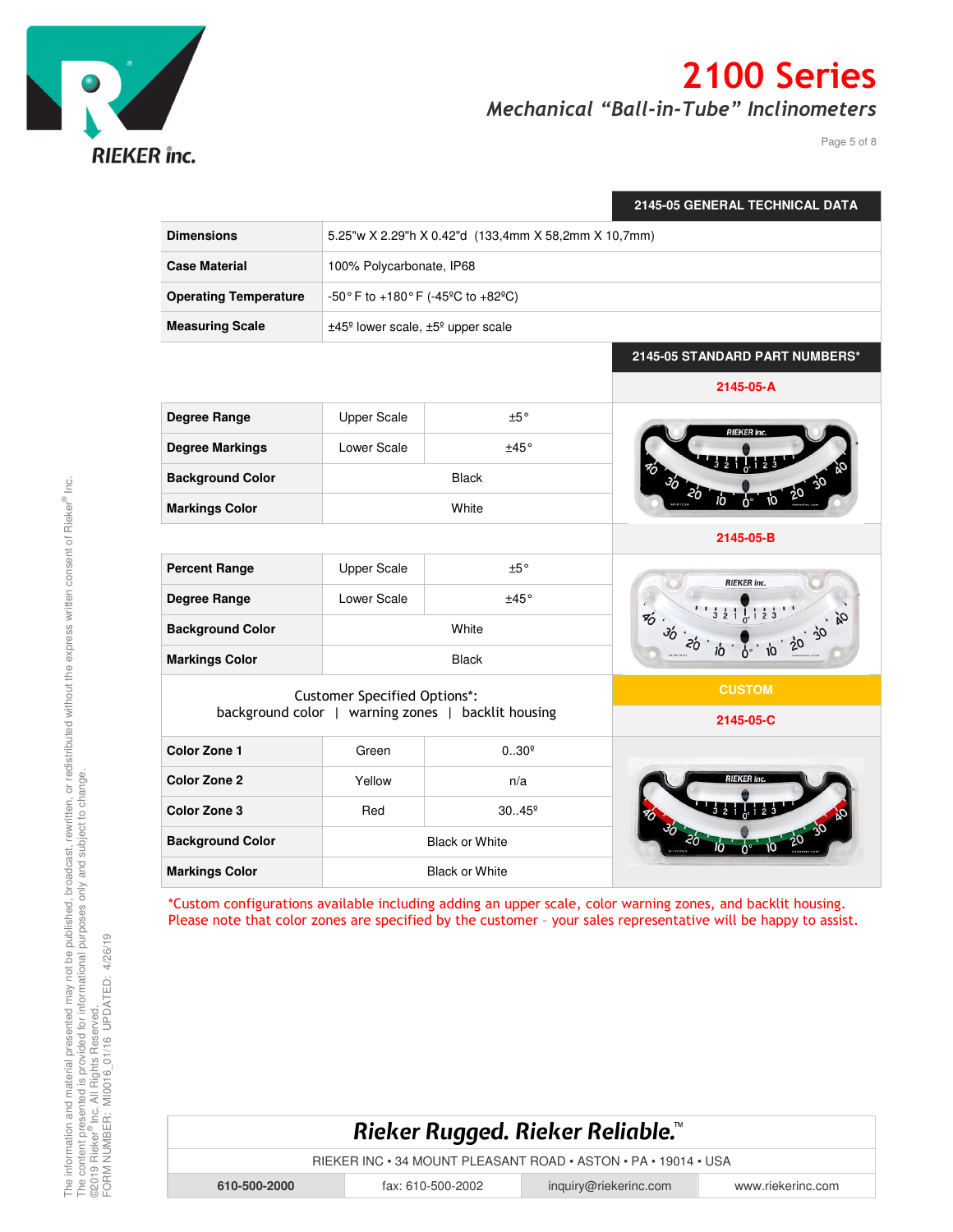

Page 5 of 8

|                                                    |                                                           |                 | 2145-05 GENERAL TECHNICAL DATA |
|----------------------------------------------------|-----------------------------------------------------------|-----------------|--------------------------------|
| <b>Dimensions</b>                                  | 5.25"w X 2.29"h X 0.42"d (133,4mm X 58,2mm X 10,7mm)      |                 |                                |
| <b>Case Material</b>                               | 100% Polycarbonate, IP68                                  |                 |                                |
| <b>Operating Temperature</b>                       | -50° F to +180° F (-45°C to +82°C)                        |                 |                                |
| <b>Measuring Scale</b>                             | ±45 <sup>°</sup> lower scale, ±5 <sup>°</sup> upper scale |                 |                                |
|                                                    |                                                           |                 | 2145-05 STANDARD PART NUMBERS* |
|                                                    |                                                           |                 | 2145-05-A                      |
| Degree Range                                       | <b>Upper Scale</b>                                        | ±5°             |                                |
| <b>Degree Markings</b>                             | Lower Scale                                               | ±45°            | RIEKER inc.                    |
| <b>Background Color</b>                            |                                                           | <b>Black</b>    |                                |
| <b>Markings Color</b>                              | White                                                     |                 |                                |
|                                                    |                                                           |                 | 2145-05-B                      |
| <b>Percent Range</b>                               | <b>Upper Scale</b>                                        | ±5°             | <b>RIEKER</b> inc.             |
| Degree Range                                       | Lower Scale                                               | ±45°            |                                |
| <b>Background Color</b>                            | White                                                     |                 | $\%$ .<br>36                   |
| <b>Markings Color</b>                              | <b>Black</b>                                              |                 |                                |
| <b>Customer Specified Options*:</b>                |                                                           |                 | <b>CUSTOM</b>                  |
| background color   warning zones   backlit housing |                                                           | 2145-05-C       |                                |
| <b>Color Zone 1</b>                                | Green                                                     | $0.30^{\circ}$  |                                |
| <b>Color Zone 2</b>                                | Yellow                                                    | n/a             |                                |
| Color Zone 3                                       | Red                                                       | $30.45^{\circ}$ |                                |
| <b>Background Color</b>                            | <b>Black or White</b>                                     |                 |                                |
| <b>Markings Color</b>                              | <b>Black or White</b>                                     |                 |                                |

\*Custom configurations available including adding an upper scale, color warning zones, and backlit housing. Please note that color zones are specified by the customer – your sales representative will be happy to assist.

## Rieker Rugged. Rieker Reliable.™

RIEKER INC • 34 MOUNT PLEASANT ROAD • ASTON • PA • 19014 • USA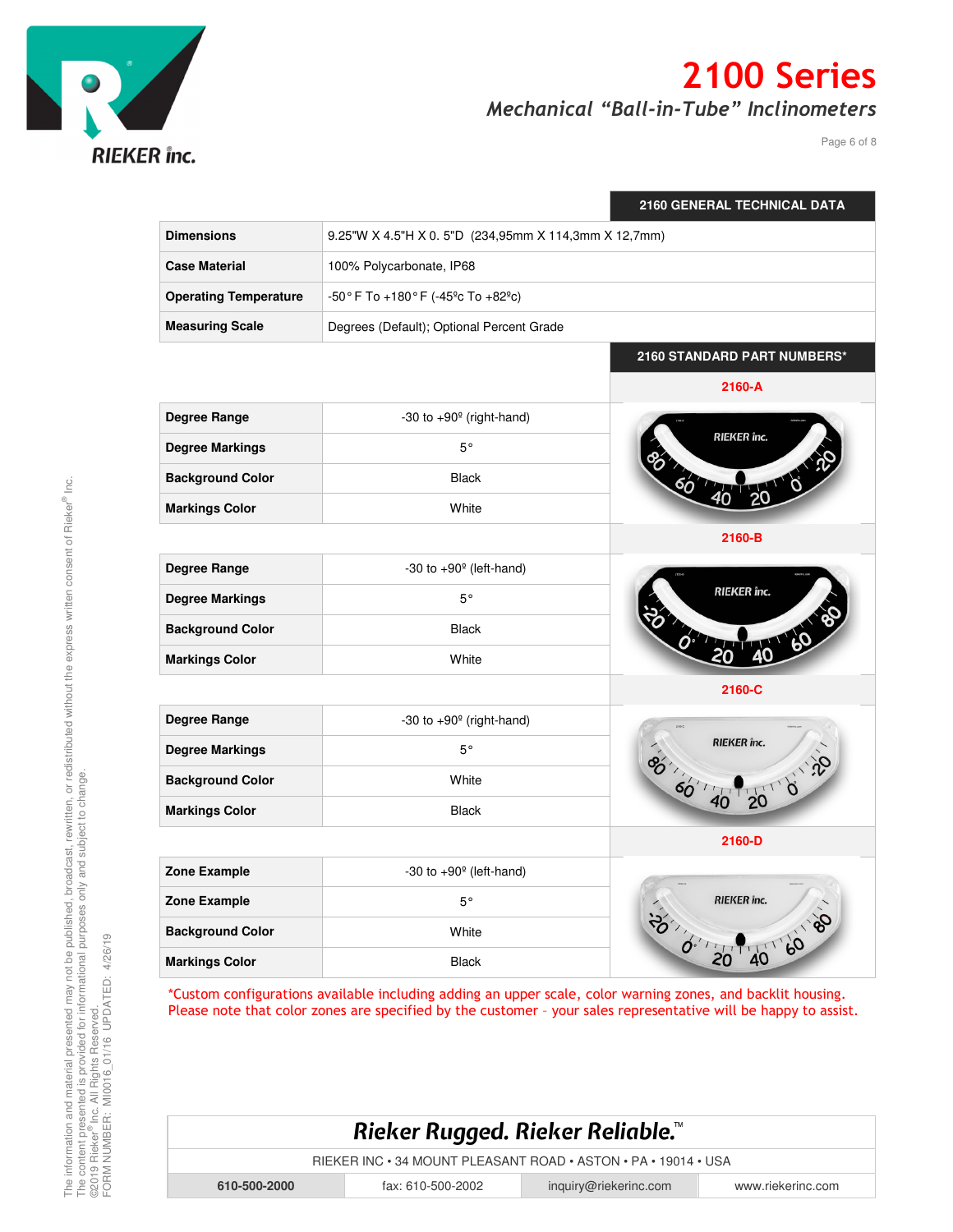

Page 6 of 8

|                              |                                                      | <b>2160 GENERAL TECHNICAL DATA</b> |  |  |
|------------------------------|------------------------------------------------------|------------------------------------|--|--|
| <b>Dimensions</b>            | 9.25"W X 4.5"H X 0.5"D (234,95mm X 114,3mm X 12,7mm) |                                    |  |  |
| <b>Case Material</b>         | 100% Polycarbonate, IP68                             |                                    |  |  |
| <b>Operating Temperature</b> | -50° F To +180° F (-45° c To +82° c)                 |                                    |  |  |
| <b>Measuring Scale</b>       | Degrees (Default); Optional Percent Grade            |                                    |  |  |
|                              |                                                      | 2160 STANDARD PART NUMBERS*        |  |  |
|                              |                                                      | 2160-A                             |  |  |
| Degree Range                 | -30 to $+90^\circ$ (right-hand)                      |                                    |  |  |
| <b>Degree Markings</b>       | $5^{\circ}$                                          | <b>RIEKER</b> înc.                 |  |  |
| <b>Background Color</b>      | Black                                                |                                    |  |  |
| <b>Markings Color</b>        | White                                                |                                    |  |  |
|                              |                                                      | 2160-B                             |  |  |
| Degree Range                 | -30 to $+90^\circ$ (left-hand)                       |                                    |  |  |
| <b>Degree Markings</b>       | $5^{\circ}$                                          | <b>RIEKER</b> <i>inc.</i>          |  |  |
| <b>Background Color</b>      | <b>Black</b>                                         |                                    |  |  |
| <b>Markings Color</b>        | White                                                |                                    |  |  |
|                              |                                                      | 2160-C                             |  |  |
| Degree Range                 | -30 to $+90^\circ$ (right-hand)                      |                                    |  |  |
| <b>Degree Markings</b>       | $5^{\circ}$                                          | <b>RIEKER</b> inc.                 |  |  |
| <b>Background Color</b>      | White                                                | 20 0 20<br>60'140                  |  |  |
| <b>Markings Color</b>        | Black                                                |                                    |  |  |
|                              |                                                      | 2160-D                             |  |  |
| Zone Example                 | -30 to $+90^\circ$ (left-hand)                       |                                    |  |  |
| Zone Example                 | $5^{\circ}$                                          | <b>RIEKER</b> inc.                 |  |  |
| <b>Background Color</b>      | White                                                | 36-1-20 40 60 8                    |  |  |
| <b>Markings Color</b>        | <b>Black</b>                                         |                                    |  |  |

\*Custom configurations available including adding an upper scale, color warning zones, and backlit housing. Please note that color zones are specified by the customer – your sales representative will be happy to assist.

#### Rieker Rugged. Rieker Reliable.™

RIEKER INC • 34 MOUNT PLEASANT ROAD • ASTON • PA • 19014 • USA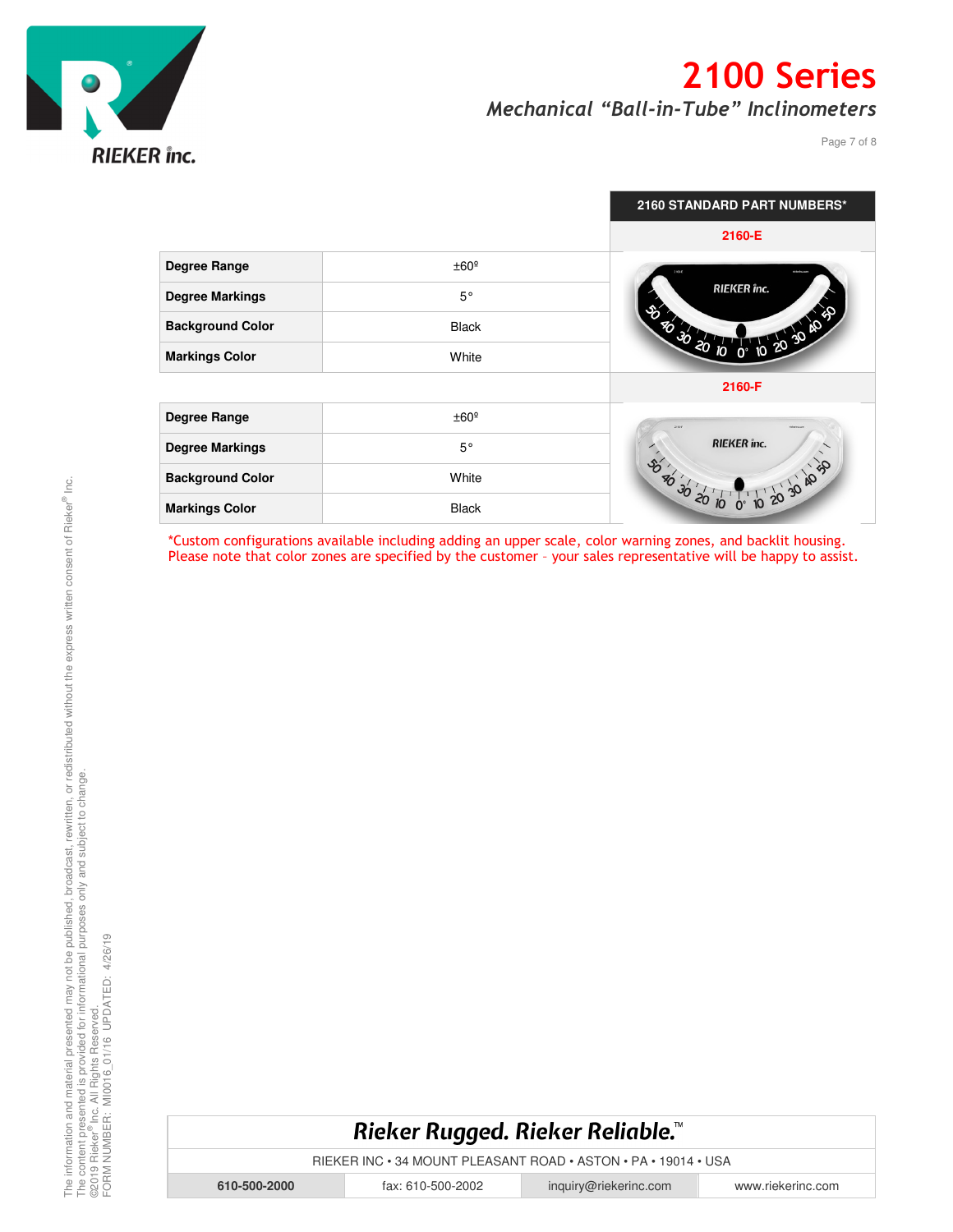

Page 7 of 8

|                         |                  | 2160 STANDARD PART NUMBERS*             |
|-------------------------|------------------|-----------------------------------------|
|                         |                  | 2160-E                                  |
| <b>Degree Range</b>     | ±60 <sup>°</sup> |                                         |
| <b>Degree Markings</b>  | $5^{\circ}$      | RIEKER inc.<br>Ŷò.                      |
| <b>Background Color</b> | <b>Black</b>     | 203040<br>70 30 20                      |
| <b>Markings Color</b>   | White            | $\overline{10}$                         |
|                         |                  | 2160-F                                  |
| <b>Degree Range</b>     | ±60 <sup>°</sup> | $2186 - 6$<br><b>Subarine con</b>       |
| <b>Degree Markings</b>  | $5^{\circ}$      | <b>RIEKER</b> înc.                      |
| <b>Background Color</b> | White            | $\delta$<br>of or or<br>$\frac{96}{30}$ |
| <b>Markings Color</b>   | <b>Black</b>     |                                         |

\*Custom configurations available including adding an upper scale, color warning zones, and backlit housing. Please note that color zones are specified by the customer - your sales representative will be happy to assist.

#### Rieker Rugged. Rieker Reliable.™

RIEKER INC • 34 MOUNT PLEASANT ROAD • ASTON • PA • 19014 • USA